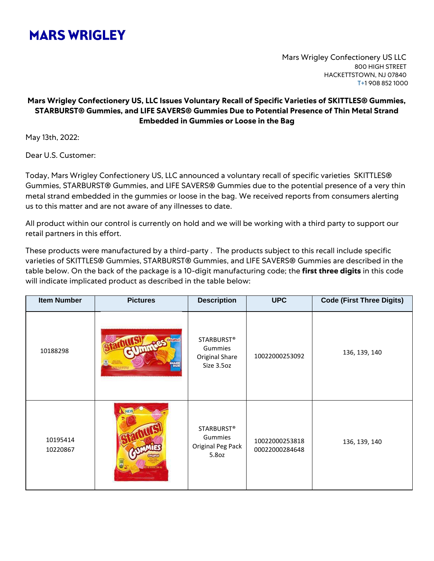## **MARS WRIGLEY**

Mars Wrigley Confectionery US LLC 800 HIGH STREET HACKETTSTOWN, NJ 07840 T+1 908 852 1000

## **Mars Wrigley Confectionery US, LLC Issues Voluntary Recall of Specific Varieties of SKITTLES® Gummies, STARBURST® Gummies, and LIFE SAVERS® Gummies Due to Potential Presence of Thin Metal Strand Embedded in Gummies or Loose in the Bag**

May 13th, 2022:

Dear U.S. Customer:

Today, Mars Wrigley Confectionery US, LLC announced a voluntary recall of specific varieties SKITTLES® Gummies, STARBURST® Gummies, and LIFE SAVERS® Gummies due to the potential presence of a very thin metal strand embedded in the gummies or loose in the bag. We received reports from consumers alerting us to this matter and are not aware of any illnesses to date.

All product within our control is currently on hold and we will be working with a third party to support our retail partners in this effort.

These products were manufactured by a third-party . The products subject to this recall include specific varieties of SKITTLES® Gummies, STARBURST® Gummies, and LIFE SAVERS® Gummies are described in the table below. On the back of the package is a 10-digit manufacturing code; the **first three digits** in this code will indicate implicated product as described in the table below:

| <b>Item Number</b>   | <b>Pictures</b>      | <b>Description</b>                                    | <b>UPC</b>                       | <b>Code (First Three Digits)</b> |
|----------------------|----------------------|-------------------------------------------------------|----------------------------------|----------------------------------|
| 10188298             | <b>HARE</b>          | STARBURST®<br>Gummies<br>Original Share<br>Size 3.5oz | 10022000253092                   | 136, 139, 140                    |
| 10195414<br>10220867 | TYAT SEB QZ (164.4a) | STARBURST®<br>Gummies<br>Original Peg Pack<br>5.8oz   | 10022000253818<br>00022000284648 | 136, 139, 140                    |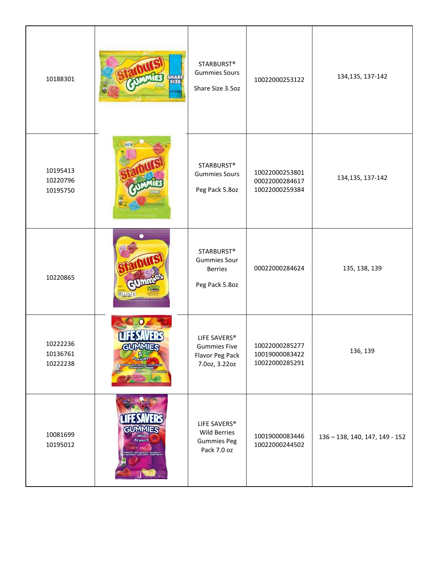| 10188301                         | HARE<br>SIZE<br>HIIB                  | <b>STARBURST®</b><br><b>Gummies Sours</b><br>Share Size 3.5oz                | 10022000253122                                     | 134, 135, 137-142              |
|----------------------------------|---------------------------------------|------------------------------------------------------------------------------|----------------------------------------------------|--------------------------------|
| 10195413<br>10220796<br>10195750 |                                       | STARBURST®<br><b>Gummies Sours</b><br>Peg Pack 5.8oz                         | 10022000253801<br>00022000284617<br>10022000259384 | 134, 135, 137-142              |
| 10220865                         | 90 九色                                 | <b>STARBURST®</b><br><b>Gummies Sour</b><br><b>Berries</b><br>Peg Pack 5.8oz | 00022000284624                                     | 135, 138, 139                  |
| 10222236<br>10136761<br>10222238 | <b>GUMMIES</b><br><b>5</b><br>PLAVORS | LIFE SAVERS®<br><b>Gummies Five</b><br>Flavor Peg Pack<br>7.0oz, 3.22oz      | 10022000285277<br>10019000083422<br>10022000285291 | 136, 139                       |
| 10081699<br>10195012             | GUMMIES<br>BERRIES                    | LIFE SAVERS®<br><b>Wild Berries</b><br><b>Gummies Peg</b><br>Pack 7.0 oz     | 10019000083446<br>10022000244502                   | 136 - 138, 140, 147, 149 - 152 |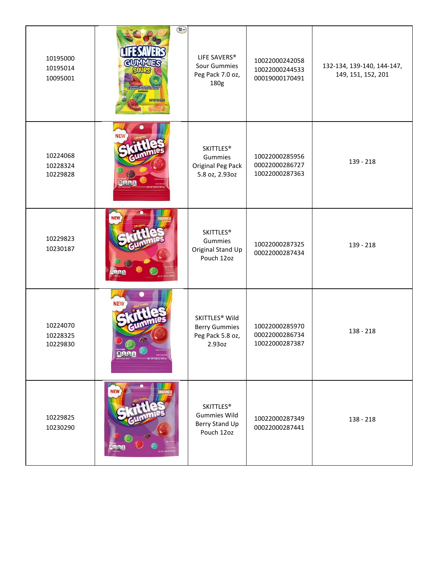| 10195000<br>10195014<br>10095001 | $\left(\frac{12}{2}\right)$<br>GUMMIES<br><b>Tartimozoo</b> | LIFE SAVERS®<br>Sour Gummies<br>Peg Pack 7.0 oz,<br>180g                         | 10022000242058<br>10022000244533<br>00019000170491 | 132-134, 139-140, 144-147,<br>149, 151, 152, 201 |
|----------------------------------|-------------------------------------------------------------|----------------------------------------------------------------------------------|----------------------------------------------------|--------------------------------------------------|
| 10224068<br>10228324<br>10229828 | <b>PARB</b>                                                 | <b>SKITTLES®</b><br>Gummies<br>Original Peg Pack<br>5.8 oz, 2.93oz               | 10022000285956<br>00022000286727<br>10022000287363 | 139 - 218                                        |
| 10229823<br>10230187             |                                                             | <b>SKITTLES®</b><br>Gummies<br>Original Stand Up<br>Pouch 12oz                   | 10022000287325<br>00022000287434                   | 139 - 218                                        |
| 10224070<br>10228325<br>10229830 | <b>NEW</b><br><b>BARB</b><br>ET WT 5.80.02 (184)            | SKITTLES <sup>®</sup> Wild<br><b>Berry Gummies</b><br>Peg Pack 5.8 oz,<br>2.93oz | 10022000285970<br>00022000286734<br>10022000287387 | 138 - 218                                        |
| 10229825<br>10230290             | NEW                                                         | <b>SKITTLES®</b><br><b>Gummies Wild</b><br>Berry Stand Up<br>Pouch 12oz          | 10022000287349<br>00022000287441                   | 138 - 218                                        |